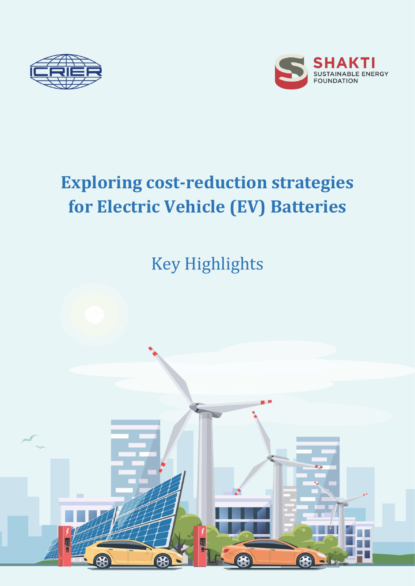



# **Exploring cost-reduction strategies for Electric Vehicle (EV) Batteries**

Key Highlights

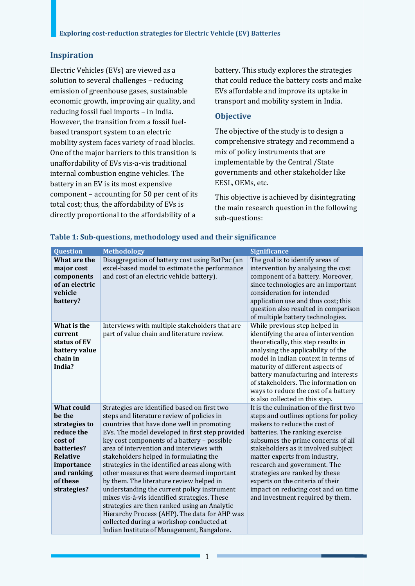#### **Inspiration**

Electric Vehicles (EVs) are viewed as a solution to several challenges – reducing emission of greenhouse gases, sustainable economic growth, improving air quality, and reducing fossil fuel imports – in India. However, the transition from a fossil fuelbased transport system to an electric mobility system faces variety of road blocks. One of the major barriers to this transition is unaffordability of EVs vis-a-vis traditional internal combustion engine vehicles. The battery in an EV is its most expensive component – accounting for 50 per cent of its total cost; thus, the affordability of EVs is directly proportional to the affordability of a

battery. This study explores the strategies that could reduce the battery costs and make EVs affordable and improve its uptake in transport and mobility system in India.

#### **Objective**

The objective of the study is to design a comprehensive strategy and recommend a mix of policy instruments that are implementable by the Central /State governments and other stakeholder like EESL, OEMs, etc.

This objective is achieved by disintegrating the main research question in the following sub-questions:

| <b>Question</b>                                                                                                                                         | <b>Methodology</b>                                                                                                                                                                                                                                                                                                                                                                                                                                                                                                                                                                                                                                                                                                                                                   | <b>Significance</b>                                                                                                                                                                                                                                                                                                                                                                                                                               |
|---------------------------------------------------------------------------------------------------------------------------------------------------------|----------------------------------------------------------------------------------------------------------------------------------------------------------------------------------------------------------------------------------------------------------------------------------------------------------------------------------------------------------------------------------------------------------------------------------------------------------------------------------------------------------------------------------------------------------------------------------------------------------------------------------------------------------------------------------------------------------------------------------------------------------------------|---------------------------------------------------------------------------------------------------------------------------------------------------------------------------------------------------------------------------------------------------------------------------------------------------------------------------------------------------------------------------------------------------------------------------------------------------|
| What are the<br>major cost<br>components<br>of an electric<br>vehicle<br>battery?                                                                       | Disaggregation of battery cost using BatPac (an<br>excel-based model to estimate the performance<br>and cost of an electric vehicle battery).                                                                                                                                                                                                                                                                                                                                                                                                                                                                                                                                                                                                                        | The goal is to identify areas of<br>intervention by analysing the cost<br>component of a battery. Moreover,<br>since technologies are an important<br>consideration for intended<br>application use and thus cost; this<br>question also resulted in comparison<br>of multiple battery technologies.                                                                                                                                              |
| What is the<br>current<br>status of EV<br>battery value<br>chain in<br>India?                                                                           | Interviews with multiple stakeholders that are<br>part of value chain and literature review.                                                                                                                                                                                                                                                                                                                                                                                                                                                                                                                                                                                                                                                                         | While previous step helped in<br>identifying the area of intervention<br>theoretically, this step results in<br>analysing the applicability of the<br>model in Indian context in terms of<br>maturity of different aspects of<br>battery manufacturing and interests<br>of stakeholders. The information on<br>ways to reduce the cost of a battery<br>is also collected in this step.                                                            |
| What could<br>he the<br>strategies to<br>reduce the<br>cost of<br>hatteries?<br><b>Relative</b><br>importance<br>and ranking<br>of these<br>strategies? | Strategies are identified based on first two<br>steps and literature review of policies in<br>countries that have done well in promoting<br>EVs. The model developed in first step provided<br>key cost components of a battery - possible<br>area of intervention and interviews with<br>stakeholders helped in formulating the<br>strategies in the identified areas along with<br>other measures that were deemed important<br>by them. The literature review helped in<br>understanding the current policy instrument<br>mixes vis-à-vis identified strategies. These<br>strategies are then ranked using an Analytic<br>Hierarchy Process (AHP). The data for AHP was<br>collected during a workshop conducted at<br>Indian Institute of Management, Bangalore. | It is the culmination of the first two<br>steps and outlines options for policy<br>makers to reduce the cost of<br>batteries. The ranking exercise<br>subsumes the prime concerns of all<br>stakeholders as it involved subject<br>matter experts from industry,<br>research and government. The<br>strategies are ranked by these<br>experts on the criteria of their<br>impact on reducing cost and on time<br>and investment required by them. |

#### **Table 1: Sub-questions, methodology used and their significance**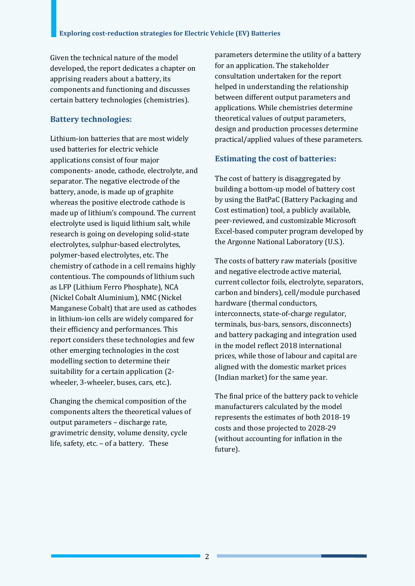Given the technical nature of the model developed, the report dedicates a chapter on apprising readers about a battery, its components and functioning and discusses certain battery technologies (chemistries).

# **Battery technologies:**

Lithium-ion batteries that are most widely used batteries for electric vehicle applications consist of four major components- anode, cathode, electrolyte, and separator. The negative electrode of the battery, anode, is made up of graphite whereas the positive electrode cathode is made up of lithium's compound. The current electrolyte used is liquid lithium salt, while research is going on developing solid-state electrolytes, sulphur-based electrolytes, polymer-based electrolytes, etc. The chemistry of cathode in a cell remains highly contentious. The compounds of lithium such as LFP (Lithium Ferro Phosphate), NCA (Nickel Cobalt Aluminium), NMC (Nickel Manganese Cobalt) that are used as cathodes in lithium-ion cells are widely compared for their efficiency and performances. This report considers these technologies and few other emerging technologies in the cost modelling section to determine their suitability for a certain application (2 wheeler, 3-wheeler, buses, cars, etc.).

Changing the chemical composition of the components alters the theoretical values of output parameters – discharge rate, gravimetric density, volume density, cycle life, safety, etc. – of a battery. These

parameters determine the utility of a battery for an application. The stakeholder consultation undertaken for the report helped in understanding the relationship between different output parameters and applications. While chemistries determine theoretical values of output parameters, design and production processes determine practical/applied values of these parameters.

# **Estimating the cost of batteries:**

The cost of battery is disaggregated by building a bottom-up model of battery cost by using the BatPaC (Battery Packaging and Cost estimation) tool, a publicly available, peer-reviewed, and customizable Microsoft Excel-based computer program developed by the Argonne National Laboratory (U.S.).

The costs of battery raw materials (positive and negative electrode active material, current collector foils, electrolyte, separators, carbon and binders), cell/module purchased hardware (thermal conductors, interconnects, state-of-charge regulator, terminals, bus-bars, sensors, disconnects) and battery packaging and integration used in the model reflect 2018 international prices, while those of labour and capital are aligned with the domestic market prices (Indian market) for the same year.

The final price of the battery pack to vehicle manufacturers calculated by the model represents the estimates of both 2018-19 costs and those projected to 2028-29 (without accounting for inflation in the future).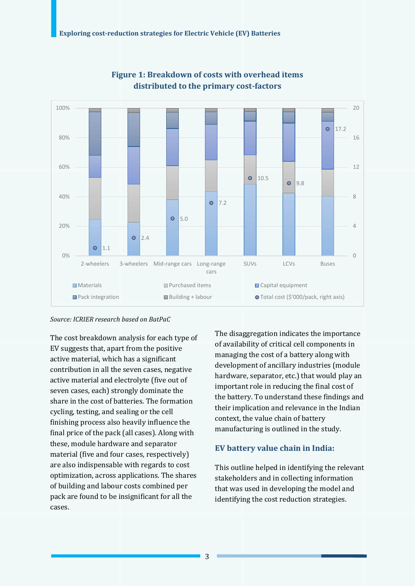

**Figure 1: Breakdown of costs with overhead items distributed to the primary cost-factors** 

#### *Source: ICRIER research based on BatPaC*

The cost breakdown analysis for each type of EV suggests that, apart from the positive active material, which has a significant contribution in all the seven cases, negative active material and electrolyte (five out of seven cases, each) strongly dominate the share in the cost of batteries. The formation cycling, testing, and sealing or the cell finishing process also heavily influence the final price of the pack (all cases). Along with these, module hardware and separator material (five and four cases, respectively) are also indispensable with regards to cost optimization, across applications. The shares of building and labour costs combined per pack are found to be insignificant for all the cases.

The disaggregation indicates the importance of availability of critical cell components in managing the cost of a battery along with development of ancillary industries (module hardware, separator, etc.) that would play an important role in reducing the final cost of the battery. To understand these findings and their implication and relevance in the Indian context, the value chain of battery manufacturing is outlined in the study.

# **EV battery value chain in India:**

This outline helped in identifying the relevant stakeholders and in collecting information that was used in developing the model and identifying the cost reduction strategies.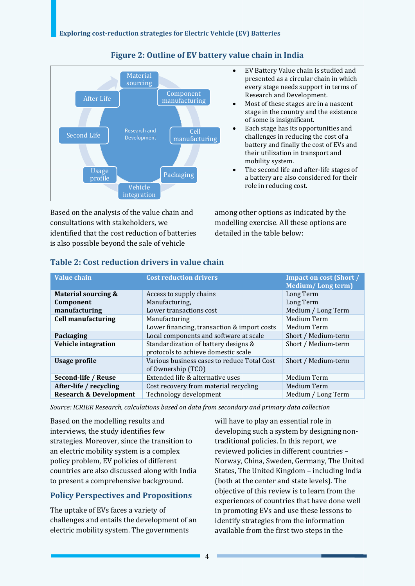

# **Figure 2: Outline of EV battery value chain in India**

Based on the analysis of the value chain and consultations with stakeholders, we identified that the cost reduction of batteries is also possible beyond the sale of vehicle

 EV Battery Value chain is studied and presented as a circular chain in which every stage needs support in terms of Research and Development.

- Most of these stages are in a nascent stage in the country and the existence of some is insignificant.
- Each stage has its opportunities and challenges in reducing the cost of a battery and finally the cost of EVs and their utilization in transport and mobility system.
- The second life and after-life stages of a battery are also considered for their role in reducing cost.

among other options as indicated by the modelling exercise. All these options are detailed in the table below:

| <b>Value chain</b>                | <b>Cost reduction drivers</b>                                               | <b>Impact on cost (Short /</b><br><b>Medium/Long term)</b> |
|-----------------------------------|-----------------------------------------------------------------------------|------------------------------------------------------------|
| <b>Material sourcing &amp;</b>    | Access to supply chains                                                     | Long Term                                                  |
| Component                         | Manufacturing,                                                              | Long Term                                                  |
| manufacturing                     | Lower transactions cost                                                     | Medium / Long Term                                         |
| <b>Cell manufacturing</b>         | Manufacturing                                                               | Medium Term                                                |
|                                   | Lower financing, transaction & import costs                                 | Medium Term                                                |
| Packaging                         | Local components and software at scale                                      | Short / Medium-term                                        |
| <b>Vehicle integration</b>        | Standardization of battery designs &<br>protocols to achieve domestic scale | Short / Medium-term                                        |
| <b>Usage profile</b>              | Various business cases to reduce Total Cost<br>of Ownership (TCO)           | Short / Medium-term                                        |
| Second-life / Reuse               | Extended life & alternative uses                                            | Medium Term                                                |
| After-life / recycling            | Cost recovery from material recycling                                       | Medium Term                                                |
| <b>Research &amp; Development</b> | Technology development                                                      | Medium / Long Term                                         |

#### **Table 2: Cost reduction drivers in value chain**

*Source: ICRIER Research, calculations based on data from secondary and primary data collection* 

Based on the modelling results and interviews, the study identifies few strategies. Moreover, since the transition to an electric mobility system is a complex policy problem, EV policies of different countries are also discussed along with India to present a comprehensive background.

#### **Policy Perspectives and Propositions**

The uptake of EVs faces a variety of challenges and entails the development of an electric mobility system. The governments

will have to play an essential role in developing such a system by designing nontraditional policies. In this report, we reviewed policies in different countries – Norway, China, Sweden, Germany, The United States, The United Kingdom – including India (both at the center and state levels). The objective of this review is to learn from the experiences of countries that have done well in promoting EVs and use these lessons to identify strategies from the information available from the first two steps in the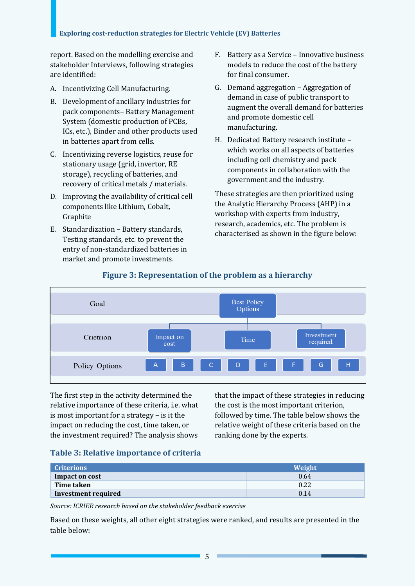report. Based on the modelling exercise and stakeholder Interviews, following strategies are identified:

- A. Incentivizing Cell Manufacturing.
- B. Development of ancillary industries for pack components– Battery Management System (domestic production of PCBs, ICs, etc.), Binder and other products used in batteries apart from cells.
- C. Incentivizing reverse logistics, reuse for stationary usage (grid, invertor, RE storage), recycling of batteries, and recovery of critical metals / materials.
- D. Improving the availability of critical cell components like Lithium, Cobalt, Graphite
- E. Standardization Battery standards, Testing standards, etc. to prevent the entry of non-standardized batteries in market and promote investments.
- F. Battery as a Service Innovative business models to reduce the cost of the battery for final consumer.
- G. Demand aggregation Aggregation of demand in case of public transport to augment the overall demand for batteries and promote domestic cell manufacturing.
- H. Dedicated Battery research institute which works on all aspects of batteries including cell chemistry and pack components in collaboration with the government and the industry.

These strategies are then prioritized using the Analytic Hierarchy Process (AHP) in a workshop with experts from industry, research, academics, etc. The problem is characterised as shown in the figure below:



# **Figure 3: Representation of the problem as a hierarchy**

The first step in the activity determined the relative importance of these criteria, i.e. what is most important for a strategy – is it the impact on reducing the cost, time taken, or the investment required? The analysis shows

that the impact of these strategies in reducing the cost is the most important criterion, followed by time. The table below shows the relative weight of these criteria based on the ranking done by the experts.

# **Table 3: Relative importance of criteria**

| <b>Criterions</b>   | Weight |
|---------------------|--------|
| Impact on cost      | 0.64   |
| Time taken          | 0.22   |
| Investment required | 0.14   |

*Source: ICRIER research based on the stakeholder feedback exercise* 

Based on these weights, all other eight strategies were ranked, and results are presented in the table below: